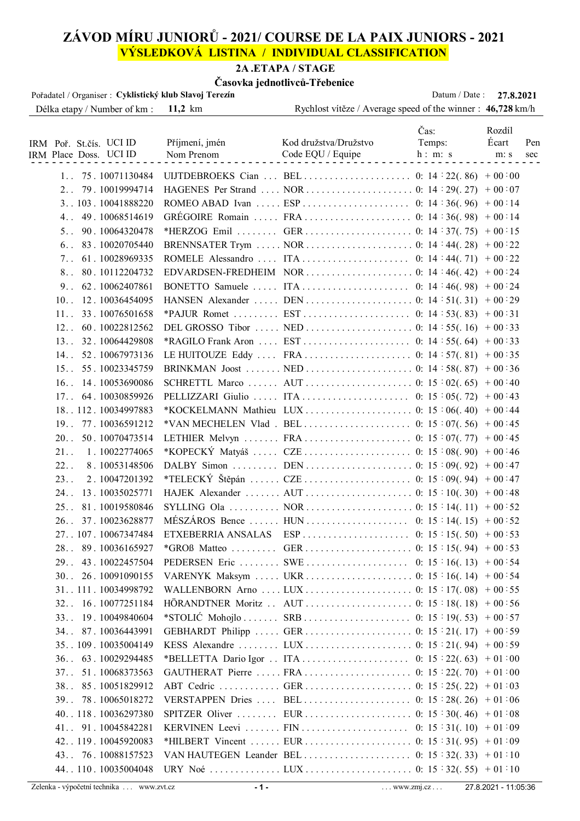# **ZÁVOD MÍRU JUNIORŮ - 2021/ COURSE DE LA PAIX JUNIORS - 2021 VÝSLEDKOVÁ LISTINA / INDIVIDUAL CLASSIFICATION**

### **2A .ETAPA / STAGE**

### **Časovka jednotlivců-Třebenice**

| Pořadatel / Organiser : Cyklistický klub Slavoj Terezín |                   |                                                             | Datum / Date: | 27.8.2021    |  |
|---------------------------------------------------------|-------------------|-------------------------------------------------------------|---------------|--------------|--|
| Délka etapy / Number of km :                            | $11,2 \text{ km}$ | Rychlost vítěze / Average speed of the winner : 46,728 km/h |               |              |  |
|                                                         |                   |                                                             | Čas:          | Rozdíl       |  |
| IRM Poř. St.čís. UCI ID                                 | Příjmení, jmén    | Kod družstva/Družstvo                                       | Temps:        | Écart<br>Pen |  |
| IRM Place Doss. UCI ID                                  | Nom Prenom        | Code EQU / Equipe                                           | h: m: s       | m: s<br>sec  |  |
|                                                         |                   |                                                             |               |              |  |
| 1.75.10071130484                                        |                   |                                                             |               |              |  |
| 2. . 79. 10019994714                                    |                   |                                                             |               |              |  |
| 3 103. 10041888220                                      |                   |                                                             |               |              |  |
| 4 49.10068514619                                        |                   |                                                             |               |              |  |
| 5.090.10064320478                                       |                   |                                                             |               |              |  |
| 6.083.10020705440                                       |                   |                                                             |               |              |  |
| 7. . 61. 10028969335                                    |                   |                                                             |               |              |  |
| 8 80.10112204732                                        |                   |                                                             |               |              |  |
| 9. . 62. 10062407861                                    |                   |                                                             |               |              |  |
| 10.12.10036454095                                       |                   |                                                             |               |              |  |
| 11 33.10076501658                                       |                   |                                                             |               |              |  |
| 12. 60. 10022812562                                     |                   |                                                             |               |              |  |
| 13. . 32. 10064429808                                   |                   |                                                             |               |              |  |
| 14. 52. 10067973136                                     |                   |                                                             |               |              |  |
| 15. 55. 10023345759                                     |                   |                                                             |               |              |  |
| 16. 14. 10053690086                                     |                   |                                                             |               |              |  |
| 17. 64. 10030859926                                     |                   |                                                             |               |              |  |
| 18. . 112. 10034997883                                  |                   |                                                             |               |              |  |
| 19. . 77. 10036591212                                   |                   |                                                             |               |              |  |
| 20. . 50. 10070473514                                   |                   |                                                             |               |              |  |
| 21.<br>1.10022774065                                    |                   |                                                             |               |              |  |
| 22.<br>8.10053148506                                    |                   |                                                             |               |              |  |
| 23.<br>2.10047201392                                    |                   |                                                             |               |              |  |
| 13.10035025771<br>$24.$ .                               |                   |                                                             |               |              |  |
| 25 81.10019580846                                       |                   |                                                             |               |              |  |
| 26. . 37. 10023628877                                   |                   |                                                             |               |              |  |
| 27. . 107. 10067347484                                  |                   |                                                             |               |              |  |
| 28 89.10036165927                                       |                   |                                                             |               |              |  |
| 29. 43. 10022457504                                     |                   |                                                             |               |              |  |
| 30. 26. 10091090155                                     |                   |                                                             |               |              |  |
| 31111.10034998792                                       |                   |                                                             |               |              |  |
| 32 16.10077251184                                       |                   |                                                             |               |              |  |
| 33 19.10049840604                                       |                   |                                                             |               |              |  |
| 34 87.10036443991                                       |                   |                                                             |               |              |  |
| 35109.10035004149                                       |                   |                                                             |               |              |  |
| 36. . 63. 10029294485                                   |                   |                                                             |               |              |  |
| 37. 51. 10068373563                                     |                   |                                                             |               |              |  |
| 38 85.10051829912                                       |                   |                                                             |               |              |  |
| 39 78.10065018272                                       |                   |                                                             |               |              |  |
| 40118.10036297380                                       |                   |                                                             |               |              |  |
| 41. 91. 10045842281                                     |                   |                                                             |               |              |  |
| 42. . 119. 10045920083                                  |                   |                                                             |               |              |  |
| 43 76.10088157523                                       |                   |                                                             |               |              |  |
| 44110.10035004048                                       |                   |                                                             |               |              |  |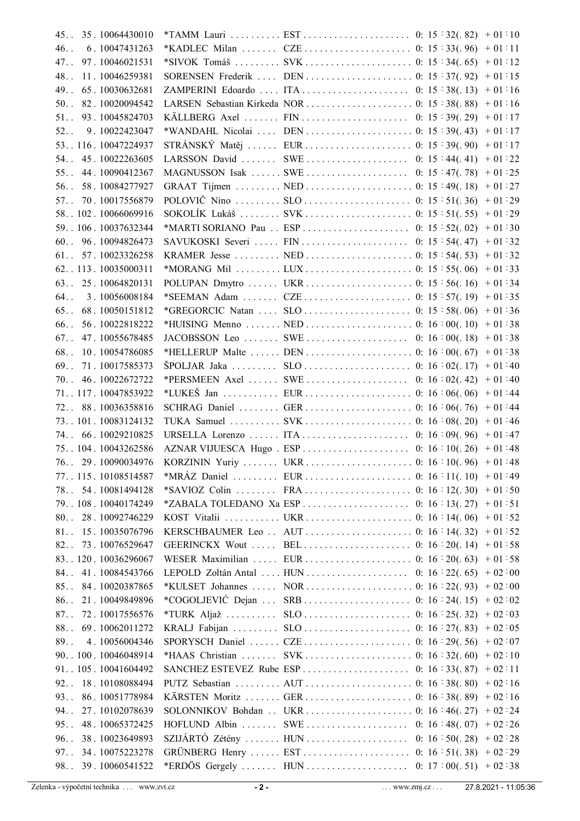|         | 45 35.10064430010                   |                                                          |  |  |
|---------|-------------------------------------|----------------------------------------------------------|--|--|
| $46.$ . | 6.10047431263                       |                                                          |  |  |
| $47.$ . | 97.10046021531                      |                                                          |  |  |
| $48.$ . | 11.10046259381                      |                                                          |  |  |
| $49.$ . | 65.10030632681                      |                                                          |  |  |
|         | 50 82.10020094542                   |                                                          |  |  |
| $51.$ . | 93.10045824703                      |                                                          |  |  |
|         | 52 9.10022423047                    |                                                          |  |  |
|         | 53116.10047224937                   |                                                          |  |  |
|         | 54 45.10022263605                   |                                                          |  |  |
| $55.$ . | 44.10090412367                      |                                                          |  |  |
|         | 56 58.10084277927                   |                                                          |  |  |
|         | 57 70.10017556879                   |                                                          |  |  |
|         | 58102.10066069916                   |                                                          |  |  |
|         | 59106.10037632344                   |                                                          |  |  |
|         | 60 96.10094826473                   |                                                          |  |  |
|         | 61 57.10023326258                   |                                                          |  |  |
|         | 62113.10035000311                   |                                                          |  |  |
|         |                                     |                                                          |  |  |
|         | 63 25.10064820131                   |                                                          |  |  |
|         | 64 3.10056008184                    |                                                          |  |  |
| $65.$ . | 68.10050151812                      |                                                          |  |  |
| $66.$ . | 56.10022818222                      |                                                          |  |  |
|         | 67 47.10055678485                   |                                                          |  |  |
| $68.$ . | 10.10054786085                      |                                                          |  |  |
|         | 69 71.10017585373                   |                                                          |  |  |
|         | 70 46.10022672722                   |                                                          |  |  |
|         | 71117.10047853922                   |                                                          |  |  |
|         | 72 88.10036358816                   |                                                          |  |  |
|         | 73101.10083124132                   |                                                          |  |  |
|         | 74 66.10029210825                   |                                                          |  |  |
|         | 75104.10043262586                   |                                                          |  |  |
|         | 76 29.10090034976                   |                                                          |  |  |
|         | 77. . 115. 10108514587              |                                                          |  |  |
|         | 78 54.10081494128                   |                                                          |  |  |
|         | 79108.10040174249                   |                                                          |  |  |
| $80.$ . | 28.10092746229                      |                                                          |  |  |
| $81.$ . |                                     |                                                          |  |  |
| $82.$ . |                                     |                                                          |  |  |
|         | 15.10035076796                      |                                                          |  |  |
|         | 73.10076529647                      |                                                          |  |  |
|         | 83120.10036296067                   |                                                          |  |  |
| $84.$ . | 41.10084543766                      |                                                          |  |  |
| $85.$ . | 84.10020387865                      |                                                          |  |  |
| $86.$ . | 21.10049849896                      |                                                          |  |  |
| $87.$ . | 72.10017556576                      |                                                          |  |  |
| $88.$ . | 69.10062011272                      |                                                          |  |  |
| $89.$ . | 4.10056004346                       |                                                          |  |  |
|         | 90. . 100. 10046048914              |                                                          |  |  |
|         | 91 105. 10041604492                 |                                                          |  |  |
| $92.$ . | 18.10108088494                      |                                                          |  |  |
| $93.$ . | 86.10051778984                      |                                                          |  |  |
| $94.$ . | 27.10102078639                      | SOLONNIKOV Bohdan  UKR        0: 16 : 46(. 27) + 02 : 24 |  |  |
| 95.     | 48.10065372425                      |                                                          |  |  |
| $96.$ . | 38.10023649893                      |                                                          |  |  |
| $97.$ . | 34.10075223278<br>98 39.10060541522 |                                                          |  |  |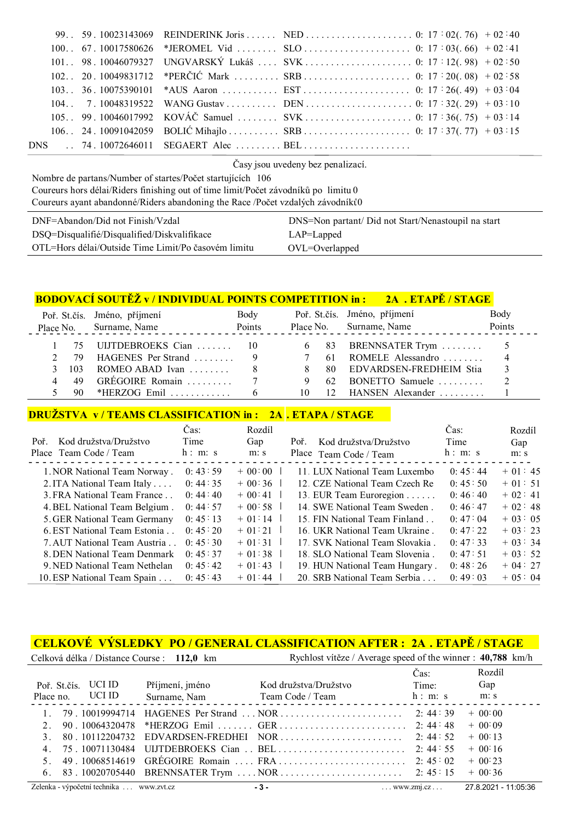|  | 101. 98. 10046079327 UNGVARSKÝ Lukáš  SVK  0: 17 : 12(.98) + 02 : 50                                                          |  |
|--|-------------------------------------------------------------------------------------------------------------------------------|--|
|  |                                                                                                                               |  |
|  |                                                                                                                               |  |
|  |                                                                                                                               |  |
|  | 105 99.10046017992 KOVÁČ Samuel  SVK 0: 17:36(.75) + 03:14                                                                    |  |
|  |                                                                                                                               |  |
|  | DNS  74.10072646011 SEGAERT Alec BEL                                                                                          |  |
|  | $\lambda$ is the contract of $\lambda$ in the contract of $\lambda$ is the contract of $\lambda$ in the contract of $\lambda$ |  |

Časy jsou uvedeny bez penalizací.

Nombre de partans/Number of startes/Počet startujících 106

 Coureurs hors délai/Riders finishing out of time limit/Počet závodníků po limitu 0 Coureurs ayant abandonné/Riders abandoning the Race /Počet vzdalých závodníků 0

| DNF=Abandon/Did not Finish/Vzdal                    | DNS=Non partant/ Did not Start/Nenastoupil na start |
|-----------------------------------------------------|-----------------------------------------------------|
| DSQ=Disqualifié/Disqualified/Diskvalifikace         | $LAP = Lapped$                                      |
| OTL=Hors délai/Outside Time Limit/Po časovém limitu | $OVL = Overlapped$                                  |

#### **BODOVACÍ SOUTĚŽ v / INDIVIDUAL POINTS COMPETITION in : 2A . ETAPĚ / STAGE**

|      | Poř. St.čís. Jméno, příjmení<br>Place No. Surname, Name | Body<br>Points |       | Poř. St.čís. Jméno, příjmení<br>Place No. Surname, Name | Body<br>Points |
|------|---------------------------------------------------------|----------------|-------|---------------------------------------------------------|----------------|
|      | 1 75 UIJTDEBROEKS Cian  10                              |                |       | $6\quad 83$ BRENNSATER Trym  5                          |                |
|      | 2 79 HAGENES Per Strand  9 7 61 ROMELE Alessandro       |                |       |                                                         |                |
|      | $3$ 103 ROMEO ABAD Ivan                                 |                | $8 -$ | 80 EDVARDSEN-FREDHEIM Stia                              |                |
|      | 4 49 GRÉGOIRE Romain  7                                 |                | 9     | $62$ BONETTO Samuele                                    |                |
| -90- | *HERZOG Emil $\ldots$ , $\ldots$ 6                      |                | 10.   | 12 HANSEN Alexander                                     |                |

#### **DRUŽSTVA v / TEAMS CLASSIFICATION in : 2A . ETAPA / STAGE**

|                               | Čas:      | Rozdíl   |                                 | Čas:      | Rozdíl   |
|-------------------------------|-----------|----------|---------------------------------|-----------|----------|
| Kod družstva/Družstvo<br>Poř. | Time      | Gap      | Kod družstva/Družstvo<br>Poř.   | Time      | Gap      |
| Place Team Code / Team        | h: m: s   | m: s     | Place Team Code / Team          | h: m: s   | m: s     |
| 1. NOR National Team Norway.  | 0:43:59   | $+00:00$ | 11. LUX National Team Luxembo   | 0:45:44   | $+01:45$ |
| 2. ITA National Team Italy    | 0: 44: 35 | $+00:36$ | 12. CZE National Team Czech Re  | 0:45:50   | $+01:51$ |
| 3. FRA National Team France   | 0:44:40   | $+00:41$ | 13. EUR Team Euroregion         | 0:46:40   | $+02:41$ |
| 4. BEL National Team Belgium. | 0:44:57   | $+00.58$ | 14. SWE National Team Sweden.   | 0:46:47   | $+02:48$ |
| 5. GER National Team Germany  | 0:45:13   | $+01:14$ | 15. FIN National Team Finland   | 0:47:04   | $+03:05$ |
| 6. EST National Team Estonia  | 0:45:20   | $+01:21$ | 16. UKR National Team Ukraine.  | 0: 47: 22 | $+03:23$ |
| 7. AUT National Team Austria  | 0:45:30   | $+01:31$ | 17. SVK National Team Slovakia. | 0: 47: 33 | $+03:34$ |
| 8. DEN National Team Denmark  | 0:45:37   | $+01:38$ | 18. SLO National Team Slovenia. | 0: 47: 51 | $+03:52$ |
| 9. NED National Team Nethelan | 0: 45: 42 | $+01:43$ | 19 HUN National Team Hungary.   | 0:48:26   | $+04:27$ |
| 10. ESP National Team Spain   | 0: 45: 43 | $+01:44$ | 20. SRB National Team Serbia    | 0:49:03   | $+05:04$ |

## **CELKOVÉ VÝSLEDKY PO / GENERAL CLASSIFICATION AFTER : 2A . ETAPĚ / STAGE**

|              |                   | Celková délka / Distance Course : 112,0 km | Rychlost vítěze / Average speed of the winner : 40,788 km/h                                                   |         |           |
|--------------|-------------------|--------------------------------------------|---------------------------------------------------------------------------------------------------------------|---------|-----------|
|              |                   |                                            |                                                                                                               | Čas:    | Rozdíl    |
| Poř. St.čís. | UCI ID            | Příjmení, jméno                            | Kod družstva/Družstvo                                                                                         | Time:   | Gap       |
|              | Place no. UCI ID  |                                            | Surname, Nam Team Code / Team                                                                                 | h: m: s | m: s      |
|              |                   |                                            | 79.10019994714 HAGENES Per Strand  NOR        2: 44:39                                                        |         | $+ 00:00$ |
|              |                   |                                            |                                                                                                               |         | $+$ 00:09 |
|              |                   |                                            | $3. \quad 80.10112204732 \quad \text{EDVARDSEN-FREDHEI} \quad \text{NOR} \dots \dots \dots \dots \dots \dots$ | 2:44:52 | $+$ 00 13 |
|              | 4. 75.10071130484 |                                            |                                                                                                               |         | $+$ 00:16 |
|              |                   |                                            |                                                                                                               |         | $+$ 00 23 |
|              |                   |                                            |                                                                                                               |         | $+$ 00:36 |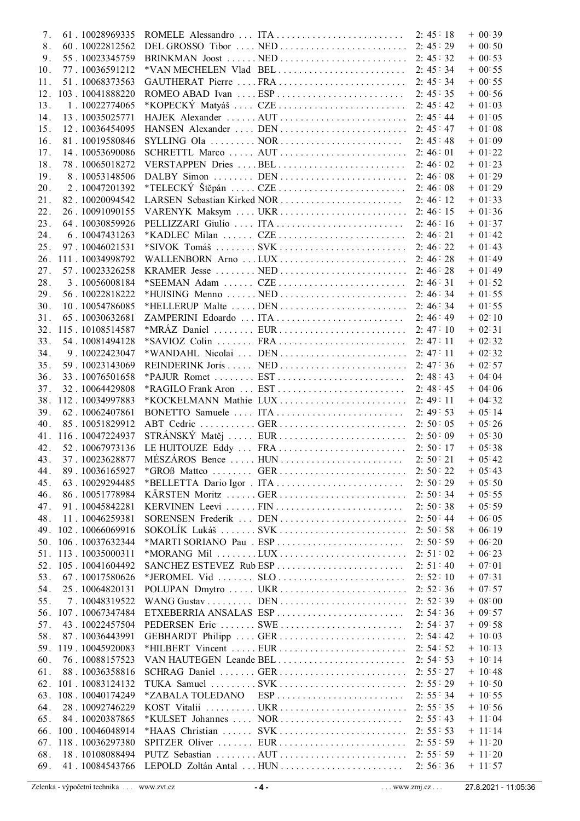| 7.  | 61.10028969335  |                  |                                                                                  |           | $+ 00.39$       |
|-----|-----------------|------------------|----------------------------------------------------------------------------------|-----------|-----------------|
| 8.  | 60.10022812562  |                  |                                                                                  |           | $+ 00.50$       |
| 9.  | 55.10023345759  |                  |                                                                                  |           | $+ 00:53$       |
| 10. | 77.10036591212  |                  | *VAN MECHELEN Vlad BEL                                                           | 2:45:34   | $+ 00.55$       |
| 11. | 51.10068373563  |                  | GAUTHERAT Pierre FRA                                                             | 2:45:34   | $+ 00.55$       |
| 12. | 103.10041888220 |                  | ROMEO ABAD Ivan  ESP                                                             | 2:45:35   | $+ 00.56$       |
| 13. | 1.10022774065   |                  | *KOPECKÝ Matyáš  CZE                                                             | 2:45:42   | $+ 0103$        |
| 14. | 13.10035025771  |                  |                                                                                  |           | $+ 01:05$       |
|     |                 |                  |                                                                                  |           |                 |
| 15. | 12.10036454095  |                  |                                                                                  |           | $+ 01.08$       |
| 16. | 81.10019580846  |                  |                                                                                  | 2:45:48   | $+ 01.09$       |
| 17. | 14.10053690086  |                  |                                                                                  |           | $+ 01:22$       |
| 18. | 78.10065018272  |                  |                                                                                  |           | $+ 01:23$       |
| 19. | 8.10053148506   |                  |                                                                                  |           | $+ 01:29$       |
| 20. | 2.10047201392   |                  |                                                                                  |           | $+ 01:29$       |
| 21. | 82.10020094542  |                  | LARSEN Sebastian Kirked NOR                                                      | 2:46:12   | $+ 01:33$       |
| 22. | 26.10091090155  |                  |                                                                                  |           | $+ 01:36$       |
| 23. | 64.10030859926  |                  |                                                                                  |           | $+ 01:37$       |
| 24. | 6.10047431263   |                  |                                                                                  |           | $+ 01.42$       |
| 25. | 97.10046021531  |                  |                                                                                  |           | $+ 01.43$       |
| 26. | 111.10034998792 |                  |                                                                                  |           | $+ 01.49$       |
| 27. | 57.10023326258  |                  |                                                                                  |           | $+ 01:49$       |
|     |                 |                  |                                                                                  |           |                 |
| 28. | 3.10056008184   |                  |                                                                                  |           | $+ 01:52$       |
| 29. | 56.10022818222  |                  |                                                                                  |           | $+ 01:55$       |
| 30. | 10.10054786085  |                  |                                                                                  |           | $+ 01.55$       |
| 31. | 65.10030632681  |                  |                                                                                  |           | $+ 02:10$       |
| 32. | 115.10108514587 |                  |                                                                                  |           | $+ 02.31$       |
| 33. | 54.10081494128  |                  |                                                                                  |           | $+ 02.32$       |
| 34. | 9.10022423047   |                  |                                                                                  |           | $+ 02:32$       |
| 35. | 59.10023143069  |                  |                                                                                  |           | $+ 02:57$       |
| 36. | 33.10076501658  |                  |                                                                                  |           | $+ 04:04$       |
| 37. | 32.10064429808  |                  | *RAGILO Frank Aron  EST                                                          | 2:48:45   | $+ 04.06$       |
| 38. | 112.10034997883 |                  |                                                                                  |           | $+ 04.32$       |
|     |                 |                  |                                                                                  |           |                 |
| 39. | 62.10062407861  |                  | BONETTO Samuele  ITA                                                             | 2:49:53   | $+ 05:14$       |
| 40. | 85.10051829912  |                  |                                                                                  |           | $+ 05:26$       |
| 41. | 116.10047224937 |                  |                                                                                  |           | $+ 05:30$       |
| 42. | 52.10067973136  |                  |                                                                                  |           | $+ 05.38$       |
| 43. | 37.10023628877  |                  | MÉSZÁROS Bence  HUN                                                              | 2:50:21   | $+ 05:42$       |
| 44. | 89.10036165927  |                  |                                                                                  | 2:50:22   | $+ 05.43$       |
| 45. | 63.10029294485  |                  |                                                                                  | 2:50:29   | $+ 05.50$       |
| 46. | 86.10051778984  |                  | KÄRSTEN Moritz GER                                                               | 2:50:34   | $+ 05:55$       |
| 47. | 91.10045842281  |                  | KERVINEN Leevi  FIN                                                              | 2:50:38   | $+ 05.59$       |
| 48. | 11.10046259381  |                  | SORENSEN Frederik  DEN                                                           | 2:50:44   | $+ 06.05$       |
| 49. | 102.10066069916 |                  | SOKOLÍK Lukáš  SVK                                                               | 2:50:58   | $+ 06.19$       |
| 50. | 106.10037632344 |                  |                                                                                  | 2:50:59   | $+ 06.20$       |
| 51. | 113.10035000311 |                  |                                                                                  | 2: 51: 02 | $+ 06.23$       |
|     |                 |                  |                                                                                  |           |                 |
| 52. | 105.10041604492 |                  | SANCHEZ ESTEVEZ Rub ESP                                                          | 2: 51: 40 | $+ 07:01$       |
| 53. | 67.10017580626  |                  | *JEROMEL Vid $\dots \dots$ SLO $\dots \dots \dots \dots \dots \dots \dots \dots$ | 2: 52: 10 | $+ 07:31$       |
| 54. | 25.10064820131  |                  | POLUPAN Dmytro  UKR                                                              | 2: 52: 36 | $+ 07:57$       |
| 55. | 7.10048319522   |                  |                                                                                  | 2:52:39   | $+ 08.00$       |
| 56. | 107.10067347484 |                  | ETXEBERRIA ANSALAS ESP                                                           | 2: 54: 36 | $+09.57$        |
| 57. | 43.10022457504  |                  | PEDERSEN Eric  SWE                                                               | 2: 54: 37 | $+09:58$        |
| 58. | 87.10036443991  |                  | GEBHARDT Philipp  GER                                                            | 2:54:42   | $+ 10.03$       |
| 59. | 119.10045920083 |                  | *HILBERT Vincent  EUR                                                            | 2: 54: 52 | $+ 10 \cdot 13$ |
| 60. | 76.10088157523  |                  | VAN HAUTEGEN Leande BEL                                                          | 2:54:53   | $+ 10.14$       |
| 61. | 88.10036358816  |                  | SCHRAG Daniel  GER                                                               | 2: 55: 27 | $+ 10.48$       |
| 62. | 101.10083124132 |                  |                                                                                  | 2: 55: 29 | $+ 10.50$       |
| 63. | 108.10040174249 | *ZABALA TOLEDANO | $ESP \dots \dots \dots \dots \dots \dots \dots \dots \dots$                      | 2: 55: 34 | $+ 10.55$       |
|     |                 |                  |                                                                                  |           |                 |
| 64. | 28.10092746229  |                  |                                                                                  | 2: 55: 35 | $+$ 10 56       |
| 65. | 84.10020387865  |                  | *KULSET Johannes  NOR                                                            | 2: 55: 43 | $+ 11:04$       |
| 66. | 100.10046048914 |                  | *HAAS Christian  SVK                                                             | 2: 55: 53 | $+ 11:14$       |
| 67. | 118.10036297380 |                  | SPITZER Oliver  EUR                                                              | 2: 55: 59 | $+ 11:20$       |
| 68. | 18.10108088494  |                  |                                                                                  | 2:55:59   | $+ 11:20$       |
| 69. | 41.10084543766  |                  | LEPOLD Zoltán Antal  HUN                                                         | 2:56:36   | $+ 11:57$       |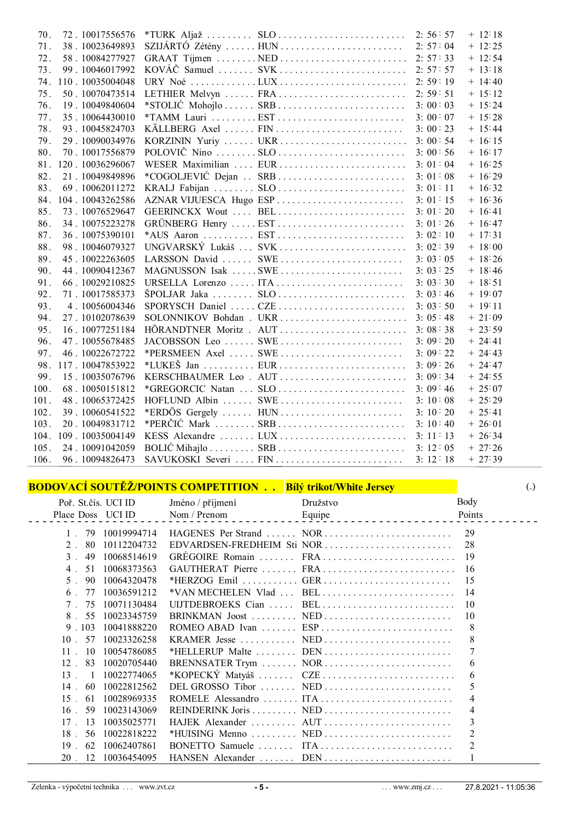| 70.  | 72.10017556576  |                                                                                         |         | $+ 12:18$ |
|------|-----------------|-----------------------------------------------------------------------------------------|---------|-----------|
| 71.  | 38.10023649893  |                                                                                         |         | $+ 12:25$ |
| 72.  | 58.10084277927  |                                                                                         |         | $+ 12:54$ |
| 73.  | 99.10046017992  |                                                                                         |         | $+ 13:18$ |
| 74.  | 110.10035004048 |                                                                                         |         | $+ 14.40$ |
| 75.  | 50.10070473514  | LETHIER Melvyn  FRA                                                                     | 2:59:51 | $+ 15:12$ |
| 76.  | 19.10049840604  | *STOLIĆ Mohojlo  SRB                                                                    | 3:00:03 | $+ 15:24$ |
| 77.  | 35.10064430010  |                                                                                         | 3:00:07 | $+ 15:28$ |
| 78.  | 93.10045824703  | KÄLLBERG Axel  FIN                                                                      | 3:00:23 | $+ 15.44$ |
| 79.  | 29.10090034976  | KORZININ Yuriy  UKR                                                                     | 3:00:54 | $+ 16:15$ |
| 80.  | 70.10017556879  |                                                                                         | 3:00:56 | $+ 16:17$ |
| 81.  | 120.10036296067 | WESER Maximilian  EUR                                                                   | 3:01:04 | $+ 16:25$ |
| 82.  | 21.10049849896  | *COGOLJEVIĆ Dejan  SRB                                                                  | 3:01:08 | $+16.29$  |
| 83.  | 69.10062011272  |                                                                                         | 3:01:11 | $+ 1632$  |
| 84.  | 104.10043262586 | AZNAR VIJUESCA Hugo ESP                                                                 | 3:01:15 | $+ 16.36$ |
| 85.  | 73.10076529647  | GEERINCKX Wout  BEL                                                                     | 3:01:20 | $+ 16:41$ |
| 86.  | 34.10075223278  | GRÜNBERG Henry  EST                                                                     | 3:01:26 | $+ 16.47$ |
| 87.  | 36.10075390101  |                                                                                         | 3:02:10 | $+ 17:31$ |
| 88.  | 98.10046079327  | UNGVARSKÝ Lukáš  SVK                                                                    | 3:02:39 | $+ 18.00$ |
| 89.  | 45.10022263605  | LARSSON David  SWE                                                                      | 3:03:05 | $+ 18:26$ |
| 90.  | 44.10090412367  | MAGNUSSON Isak SWE                                                                      | 3:03:25 | $+ 18.46$ |
| 91.  | 66.10029210825  | URSELLA Lorenzo  ITA                                                                    | 3:03:30 | $+ 18:51$ |
| 92.  | 71.10017585373  |                                                                                         | 3:03:46 | $+ 19:07$ |
| 93.  | 4.10056004346   | SPORYSCH Daniel  CZE                                                                    | 3:03:50 | $+ 19:11$ |
| 94.  | 27.10102078639  |                                                                                         |         | $+21:09$  |
| 95.  | 16.10077251184  | HÖRANDTNER Moritz . AUT                                                                 | 3:08:38 | $+23:59$  |
| 96.  | 47.10055678485  | JACOBSSON Leo  SWE                                                                      | 3:09:20 | $+ 24.41$ |
| 97.  | 46.10022672722  | *PERSMEEN Axel  SWE                                                                     | 3:09:22 | $+ 24.43$ |
| 98.  | 117.10047853922 |                                                                                         | 3:09:26 | $+24.47$  |
| 99.  | 15.10035076796  | KERSCHBAUMER Leo. AUT                                                                   | 3:09:34 | $+24:55$  |
| 100. | 68.10050151812  | *GREGORCIC Natan  SLO                                                                   | 3:09:46 | $+ 25.07$ |
| 101. | 48.10065372425  | HOFLUND Albin  SWE                                                                      | 3:10:08 | $+25:29$  |
| 102. | 39.10060541522  | *ERDÖS Gergely  HUN                                                                     | 3:10:20 | $+ 25:41$ |
| 103. | 20.10049831712  |                                                                                         | 3:10:40 | $+26.01$  |
| 104. | 109.10035004149 |                                                                                         | 3:11:13 | $+26.34$  |
| 105. | 24.10091042059  | BOLIĆ Mihajlo $\dots \dots \dots$ SRB $\dots \dots \dots \dots \dots \dots \dots \dots$ | 3:12:05 | $+27:26$  |
| 106. | 96.10094826473  | SAVUKOSKI Severi  FIN                                                                   | 3:12:18 | $+27:39$  |

## **BODOVACÍ SOUTĚŽ/POINTS COMPETITION . . Bílý trikot/White Jersey** (.)

| Poř. St.čís. UCI ID  |             | Jméno / příjmení | Družstvo                                                                                  | Body           |
|----------------------|-------------|------------------|-------------------------------------------------------------------------------------------|----------------|
| Place Doss UCI ID    |             | Nom / Prenom     | Equipe                                                                                    | Points         |
| 79                   | 10019994714 |                  |                                                                                           | 29             |
| 80<br>2.             | 10112204732 |                  | $EDVARDSEN-FREDHEIM$ Sti NOR                                                              | 28             |
| 49<br>$\mathcal{E}$  | 10068514619 |                  |                                                                                           | 19             |
| 51<br>4 <sup>1</sup> | 10068373563 |                  |                                                                                           | 16             |
| 5.<br>90             | 10064320478 |                  |                                                                                           | 15             |
| 6<br>77              | 10036591212 |                  | *VAN MECHELEN Vlad  BEL                                                                   | 14             |
| 75                   | 10071130484 |                  | UIJTDEBROEKS Cian  BEL                                                                    | 10             |
| 55<br>8.             | 10023345759 |                  |                                                                                           | 10             |
| .103<br>9            | 10041888220 |                  | ROMEO ABAD Ivan $\dots \dots$ ESP $\dots \dots \dots \dots \dots \dots \dots \dots \dots$ | 8              |
| 57<br>10             | 10023326258 |                  |                                                                                           | 8              |
| 10<br>11             | 10054786085 |                  |                                                                                           |                |
| 83<br>12             | 10020705440 |                  | BRENNSATER Trym  NOR                                                                      | 6              |
| 13<br>-1             | 10022774065 |                  |                                                                                           | 6              |
| 14<br>60             | 10022812562 |                  | DEL GROSSO Tibor  NED                                                                     | 5              |
| 15<br>61             | 10028969335 |                  |                                                                                           | 4              |
| 16<br>59             | 10023143069 |                  |                                                                                           | 4              |
| 17<br>13             | 10035025771 |                  |                                                                                           | 3              |
| 56<br>18             | 10022818222 |                  |                                                                                           | $\overline{2}$ |
| 62<br>19             | 10062407861 |                  |                                                                                           |                |
| 20<br>12             | 10036454095 |                  | HANSEN Alexander  DEN                                                                     |                |